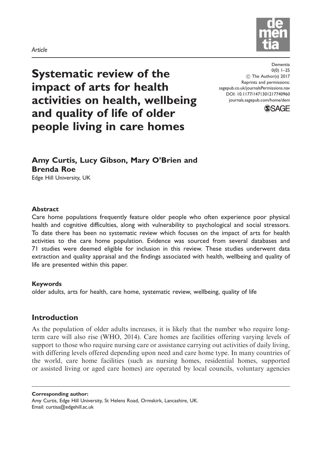Systematic review of the impact of arts for health activities on health, wellbeing and quality of life of older people living in care homes

Dementia 0(0) 1–25  $\circledcirc$  The Author(s) 2017 Reprints and permissions: [sagepub.co.uk/journalsPermissions.nav](http://uk.sagepub.com/en-gb/journals-permissions) [DOI: 10.1177/1471301217740960](http://dx.doi.org/10.1177/1471301217740960) <journals.sagepub.com/home/dem>



Amy Curtis, Lucy Gibson, Mary O'Brien and Brenda Roe Edge Hill University, UK

#### Abstract

Care home populations frequently feature older people who often experience poor physical health and cognitive difficulties, along with vulnerability to psychological and social stressors. To date there has been no systematic review which focuses on the impact of arts for health activities to the care home population. Evidence was sourced from several databases and 71 studies were deemed eligible for inclusion in this review. These studies underwent data extraction and quality appraisal and the findings associated with health, wellbeing and quality of life are presented within this paper.

# Keywords

older adults, arts for health, care home, systematic review, wellbeing, quality of life

# Introduction

As the population of older adults increases, it is likely that the number who require longterm care will also rise (WHO, 2014). Care homes are facilities offering varying levels of support to those who require nursing care or assistance carrying out activities of daily living, with differing levels offered depending upon need and care home type. In many countries of the world, care home facilities (such as nursing homes, residential homes, supported or assisted living or aged care homes) are operated by local councils, voluntary agencies

Corresponding author:

Amy Curtis, Edge Hill University, St Helens Road, Ormskirk, Lancashire, UK. Email: [curtisa@edgehill.ac.uk](mailto:curtisa@edgehill.ac.uk)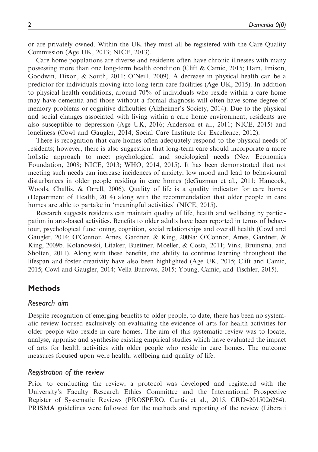or are privately owned. Within the UK they must all be registered with the Care Quality Commission ([Age UK, 2013;](#page-18-0) NICE, 2013).

Care home populations are diverse and residents often have chronic illnesses with many possessing more than one long-term health condition ([Clift & Camic, 2015;](#page-19-0) [Ham, Imison,](#page-20-0) [Goodwin, Dixon,](#page-20-0) [& South, 2011](#page-20-0); O'Neill, 2009). A decrease in physical health can be a predictor for individuals moving into long-term care facilities ([Age UK, 2015](#page-18-0)). In addition to physical health conditions, around 70% of individuals who reside within a care home may have dementia and those without a formal diagnosis will often have some degree of memory problems or cognitive difficulties [\(Alzheimer's Society, 2014\)](#page-18-0). Due to the physical and social changes associated with living within a care home environment, residents are also susceptible to depression [\(Age UK, 2016](#page-18-0); Anderson et al., 2011; NICE, 2015) and loneliness [\(Cowl and Gaugler, 2014](#page-19-0); [Social Care Institute for Excellence, 2012](#page-22-0)).

There is recognition that care homes often adequately respond to the physical needs of residents; however, there is also suggestion that long-term care should incorporate a more holistic approach to meet psychological and sociological needs ([New Economics](#page-21-0) [Foundation, 2008;](#page-21-0) NICE, 2013; WHO, 2014, 2015). It has been demonstrated that not meeting such needs can increase incidences of anxiety, low mood and lead to behavioural disturbances in older people residing in care homes (deGuzman et al., 2011; [Hancock,](#page-20-0) [Woods, Challis,](#page-20-0) [& Orrell, 2006](#page-20-0)). Quality of life is a quality indicator for care homes ([Department of Health, 2014](#page-19-0)) along with the recommendation that older people in care homes are able to partake in 'meaningful activities' (NICE, 2015).

Research suggests residents can maintain quality of life, health and wellbeing by participation in arts-based activities. Benefits to older adults have been reported in terms of behaviour, psychological functioning, cognition, social relationships and overall health [\(Cowl and](#page-19-0) [Gaugler, 2014;](#page-19-0) [O'Connor, Ames, Gardner,](#page-22-0) [& King, 2009a; O'Connor, Ames, Gardner, &](#page-22-0) [King, 2009b,](#page-22-0) [Kolanowski, Litaker, Buettner, Moeller, & Costa, 2011](#page-21-0); Vink, Bruinsma, and Sholten, 2011). Along with these benefits, the ability to continue learning throughout the lifespan and foster creativity have also been highlighted [\(Age UK, 2015;](#page-18-0) [Clift and Camic,](#page-19-0) [2015](#page-19-0); [Cowl and Gaugler, 2014](#page-19-0); [Vella-Burrows, 2015](#page-23-0); [Young, Camic, and Tischler, 2015\)](#page-23-0).

# Methods

#### Research aim

Despite recognition of emerging benefits to older people, to date, there has been no systematic review focused exclusively on evaluating the evidence of arts for health activities for older people who reside in care homes. The aim of this systematic review was to locate, analyse, appraise and synthesise existing empirical studies which have evaluated the impact of arts for health activities with older people who reside in care homes. The outcome measures focused upon were health, wellbeing and quality of life.

#### Registration of the review

Prior to conducting the review, a protocol was developed and registered with the University's Faculty Research Ethics Committee and the International Prospective Register of Systematic Reviews (PROSPERO, [Curtis et al., 2015](#page-19-0), CRD42015026264). PRISMA guidelines were followed for the methods and reporting of the review ([Liberati](#page-21-0)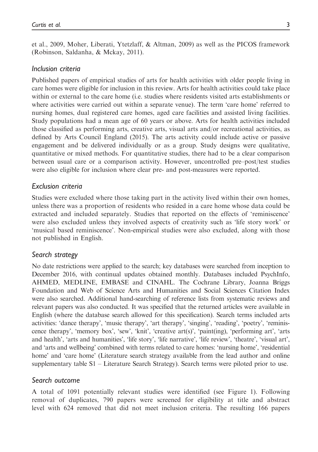[et al., 2009, Moher, Liberati, Ytetzlaff, & Altman, 2009\)](#page-21-0) as well as the PICOS framework ([Robinson, Saldanha,](#page-22-0) [& Mckay, 2011](#page-22-0)).

#### Inclusion criteria

Published papers of empirical studies of arts for health activities with older people living in care homes were eligible for inclusion in this review. Arts for health activities could take place within or external to the care home (i.e. studies where residents visited arts establishments or where activities were carried out within a separate venue). The term 'care home' referred to nursing homes, dual registered care homes, aged care facilities and assisted living facilities. Study populations had a mean age of 60 years or above. Arts for health activities included those classified as performing arts, creative arts, visual arts and/or recreational activities, as defined by [Arts Council England \(2015\)](#page-18-0). The arts activity could include active or passive engagement and be delivered individually or as a group. Study designs were qualitative, quantitative or mixed methods. For quantitative studies, there had to be a clear comparison between usual care or a comparison activity. However, uncontrolled pre–post/test studies were also eligible for inclusion where clear pre- and post-measures were reported.

# Exclusion criteria

Studies were excluded where those taking part in the activity lived within their own homes, unless there was a proportion of residents who resided in a care home whose data could be extracted and included separately. Studies that reported on the effects of 'reminiscence' were also excluded unless they involved aspects of creativity such as 'life story work' or 'musical based reminiscence'. Non-empirical studies were also excluded, along with those not published in English.

#### Search strategy

No date restrictions were applied to the search; key databases were searched from inception to December 2016, with continual updates obtained monthly. Databases included PsychInfo, AHMED, MEDLINE, EMBASE and CINAHL. The Cochrane Library, Joanna Briggs Foundation and Web of Science Arts and Humanities and Social Sciences Citation Index were also searched. Additional hand-searching of reference lists from systematic reviews and relevant papers was also conducted. It was specified that the returned articles were available in English (where the database search allowed for this specification). Search terms included arts activities: 'dance therapy', 'music therapy', 'art therapy', 'singing', 'reading', 'poetry', 'reminiscence therapy', 'memory box', 'sew', 'knit', 'creative art(s)', 'paint(ing), 'performing art', 'arts and health', 'arts and humanities', 'life story', 'life narrative', 'life review', 'theatre', 'visual art', and 'arts and wellbeing' combined with terms related to care homes: 'nursing home', 'residential home' and 'care home' (Literature search strategy available from the lead author and online supplementary table S1 – Literature Search Strategy). Search terms were piloted prior to use.

#### Search outcome

A total of 1091 potentially relevant studies were identified (see [Figure 1](#page-3-0)). Following removal of duplicates, 790 papers were screened for eligibility at title and abstract level with 624 removed that did not meet inclusion criteria. The resulting 166 papers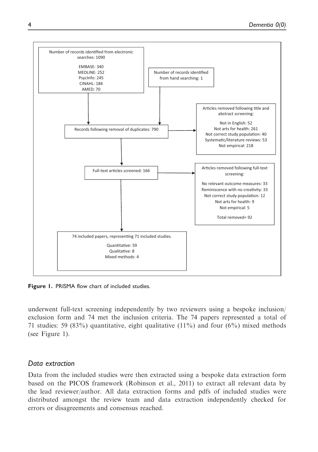<span id="page-3-0"></span>

Figure 1. PRISMA flow chart of included studies.

underwent full-text screening independently by two reviewers using a bespoke inclusion/ exclusion form and 74 met the inclusion criteria. The 74 papers represented a total of 71 studies: 59 (83%) quantitative, eight qualitative (11%) and four (6%) mixed methods (see Figure 1).

# Data extraction

Data from the included studies were then extracted using a bespoke data extraction form based on the PICOS framework [\(Robinson et al., 2011\)](#page-22-0) to extract all relevant data by the lead reviewer/author. All data extraction forms and pdfs of included studies were distributed amongst the review team and data extraction independently checked for errors or disagreements and consensus reached.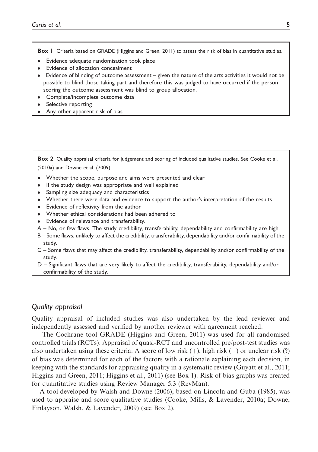Box I Criteria based on GRADE (Higgins and Green, 2011) to assess the risk of bias in quantitative studies.

- Evidence adequate randomisation took place
- Evidence of allocation concealment
- $\bullet$  Evidence of blinding of outcome assessment given the nature of the arts activities it would not be possible to blind those taking part and therefore this was judged to have occurred if the person scoring the outcome assessment was blind to group allocation.
- Complete/incomplete outcome data
- Selective reporting
- Any other apparent risk of bias

Box 2 Quality appraisal criteria for judgement and scoring of included qualitative studies. See [Cooke et al.](#page-19-0) [\(2010a](#page-19-0)) and [Downe et al. \(2009\)](#page-19-0).

- Whether the scope, purpose and aims were presented and clear
- If the study design was appropriate and well explained
- Sampling size adequacy and characteristics
- Whether there were data and evidence to support the author's interpretation of the results
- Evidence of reflexivity from the author
- Whether ethical considerations had been adhered to
- Evidence of relevance and transferability.
- A No, or few flaws. The study credibility, transferability, dependability and confirmability are high.
- B Some flaws, unlikely to affect the credibility, transferability, dependability and/or confirmability of the study.
- C Some flaws that may affect the credibility, transferability, dependability and/or confirmability of the study.
- D Significant flaws that are very likely to affect the credibility, transferability, dependability and/or confirmability of the study.

# Quality appraisal

Quality appraisal of included studies was also undertaken by the lead reviewer and independently assessed and verified by another reviewer with agreement reached.

The Cochrane tool GRADE (Higgins and Green, 2011) was used for all randomised controlled trials (RCTs). Appraisal of quasi-RCT and uncontrolled pre/post-test studies was also undertaken using these criteria. A score of low risk  $(+)$ , high risk  $(-)$  or unclear risk  $(?)$ of bias was determined for each of the factors with a rationale explaining each decision, in keeping with the standards for appraising quality in a systematic review ([Guyatt et al., 2011;](#page-20-0) Higgins and Green, 2011; [Higgins et al., 2011\)](#page-20-0) (see Box 1). Risk of bias graphs was created for quantitative studies using Review Manager 5.3 (RevMan).

A tool developed by [Walsh and Downe \(2006\),](#page-23-0) based on [Lincoln and Guba \(1985\)](#page-21-0), was used to appraise and score qualitative studies ([Cooke, Mills,](#page-19-0) [& Lavender, 2010a](#page-19-0); [Downe,](#page-19-0) [Finlayson, Walsh, & Lavender, 2009](#page-19-0)) (see Box 2).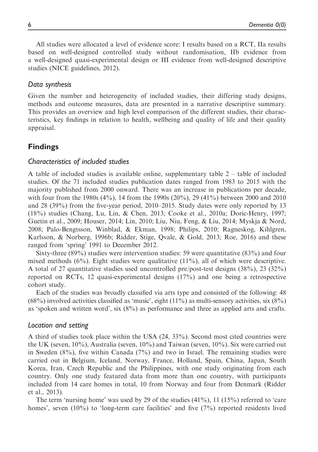All studies were allocated a level of evidence score: I results based on a RCT, IIa results based on well-designed controlled study without randomisation, IIb evidence from a well-designed quasi-experimental design or III evidence from well-designed descriptive studies (NICE guidelines, 2012).

# Data synthesis

Given the number and heterogeneity of included studies, their differing study designs, methods and outcome measures, data are presented in a narrative descriptive summary. This provides an overview and high level comparison of the different studies, their characteristics, key findings in relation to health, wellbeing and quality of life and their quality appraisal.

# Findings

# Characteristics of included studies

A table of included studies is available online, supplementary table  $2 -$  table of included studies. Of the 71 included studies publication dates ranged from 1983 to 2015 with the majority published from 2000 onward. There was an increase in publications per decade, with four from the 1980s (4%), 14 from the 1990s (20%), 29 (41%) between 2000 and 2010 and 28 (39%) from the five-year period, 2010–2015. Study dates were only reported by 13 (18%) studies (Chang, Lu, Lin, & Chen, 2013; Cooke et al., 2010a; Doric-Henry, 1997; Guetin et al., 2009; Houser, 2014; Lin, 2010; Liu, Niu, Feng, & Liu, 2014; Myskja & Nord, 2008; Palo-Bengtsson, Winblad, & Ekman, 1998; Philips, 2010; Ragneskog, Kihlgren, Karlsson, & Norberg, 1996b; Ridder, Stige, Qvale, & Gold, 2013; Roe, 2016) and these ranged from 'spring' 1991 to December 2012.

Sixty-three (89%) studies were intervention studies: 59 were quantitative (83%) and four mixed methods  $(6\%)$ . Eight studies were qualitative  $(11\%)$ , all of which were descriptive. A total of 27 quantitative studies used uncontrolled pre/post-test designs (38%), 23 (32%) reported on RCTs, 12 quasi-experimental designs (17%) and one being a retrospective cohort study.

Each of the studies was broadly classified via arts type and consisted of the following: 48  $(68%)$  involved activities classified as 'music', eight  $(11%)$  as multi-sensory activities, six  $(8%)$ as 'spoken and written word', six (8%) as performance and three as applied arts and crafts.

# Location and setting

A third of studies took place within the USA (24, 33%). Second most cited countries were the UK (seven, 10%), Australia (seven, 10%) and Taiwan (seven, 10%). Six were carried out in Sweden  $(8\%)$ , five within Canada  $(7\%)$  and two in Israel. The remaining studies were carried out in Belgium, Iceland, Norway, France, Holland, Spain, China, Japan, South Korea, Iran, Czech Republic and the Philippines, with one study originating from each country. Only one study featured data from more than one country, with participants included from 14 care homes in total, 10 from Norway and four from Denmark ([Ridder](#page-22-0) [et al., 2013](#page-22-0)).

The term 'nursing home' was used by 29 of the studies  $(41\%)$ , 11  $(15\%)$  referred to 'care homes', seven  $(10\%)$  to 'long-term care facilities' and five  $(7\%)$  reported residents lived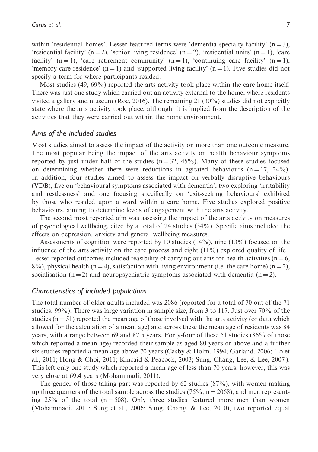within 'residential homes'. Lesser featured terms were 'dementia specialty facility'  $(n = 3)$ , 'residential facility' (n = 2), 'senior living residence' (n = 2), 'residential units' (n = 1), 'care facility'  $(n = 1)$ , 'care retirement community'  $(n = 1)$ , 'continuing care facility'  $(n = 1)$ , 'memory care residence' (n = 1) and 'supported living facility' (n = 1). Five studies did not specify a term for where participants resided.

Most studies (49, 69%) reported the arts activity took place within the care home itself. There was just one study which carried out an activity external to the home, where residents visited a gallery and museum (Roe, 2016). The remaining 21 (30%) studies did not explicitly state where the arts activity took place, although, it is implied from the description of the activities that they were carried out within the home environment.

#### Aims of the included studies

Most studies aimed to assess the impact of the activity on more than one outcome measure. The most popular being the impact of the arts activity on health behaviour symptoms reported by just under half of the studies  $(n = 32, 45\%)$ . Many of these studies focused on determining whether there were reductions in agitated behaviours  $(n = 17, 24\%)$ . In addition, four studies aimed to assess the impact on verbally disruptive behaviours (VDB), five on 'behavioural symptoms associated with dementia', two exploring 'irritability and restlessness' and one focusing specifically on 'exit-seeking behaviours' exhibited by those who resided upon a ward within a care home. Five studies explored positive behaviours, aiming to determine levels of engagement with the arts activity.

The second most reported aim was assessing the impact of the arts activity on measures of psychological wellbeing, cited by a total of 24 studies (34%). Specific aims included the effects on depression, anxiety and general wellbeing measures.

Assessments of cognition were reported by 10 studies (14%), nine (13%) focused on the influence of the arts activity on the care process and eight  $(11\%)$  explored quality of life. Lesser reported outcomes included feasibility of carrying out arts for health activities ( $n = 6$ , 8%), physical health (n = 4), satisfaction with living environment (i.e. the care home) (n = 2), socialisation (n = 2) and neuropsychiatric symptoms associated with dementia (n = 2).

#### Characteristics of included populations

The total number of older adults included was 2086 (reported for a total of 70 out of the 71 studies, 99%). There was large variation in sample size, from 3 to 117. Just over 70% of the studies  $(n = 51)$  reported the mean age of those involved with the arts activity (or data which allowed for the calculation of a mean age) and across these the mean age of residents was 84 years, with a range between 69 and 87.5 years. Forty-four of these 51 studies (86% of those which reported a mean age) recorded their sample as aged 80 years or above and a further six studies reported a mean age above 70 years [\(Casby](#page-18-0) [& Holm, 1994](#page-18-0); Garland, 2006; [Ho et](#page-20-0) [al., 2011; Hong & Choi, 2011; Kincaid & Peacock, 2003;](#page-20-0) [Sung, Chang, Lee,](#page-22-0) [& Lee, 2007](#page-22-0) ). This left only one study which reported a mean age of less than 70 years; however, this was very close at 69.4 years (Mohammadi, 2011).

The gender of those taking part was reported by 62 studies (87%), with women making up three quarters of the total sample across the studies (75%,  $n = 2068$ ), and men representing  $25\%$  of the total (n = 508). Only three studies featured more men than women (Mohammadi, 2011; [Sung et al., 2006; Sung, Chang,](#page-22-0) & [Lee, 2010](#page-22-0)), two reported equal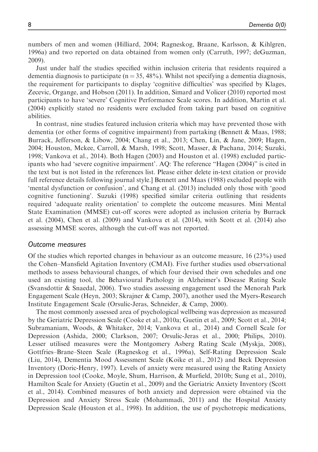numbers of men and women [\(Hilliard, 2004](#page-20-0); [Ragneskog, Braane, Karlsson,](#page-22-0) & [Kihlgren,](#page-22-0) [1996a\)](#page-22-0) and two reported on data obtained from women only [\(Carruth, 1997;](#page-18-0) deGuzman, 2009).

Just under half the studies specified within inclusion criteria that residents required a dementia diagnosis to participate ( $n = 35, 48\%$ ). Whilst not specifying a dementia diagnosis, the requirement for participants to display 'cognitive difficulties' was specified by [Klages,](#page-20-0) [Zecevic, Organge, and Hobson \(2011\).](#page-20-0) In addition, [Simard and Volicer \(2010\)](#page-22-0) reported most participants to have 'severe' Cognitive Performance Scale scores. In addition, [Martin et al.](#page-21-0) [\(2004\)](#page-21-0) explicitly stated no residents were excluded from taking part based on cognitive abilities.

In contrast, nine studies featured inclusion criteria which may have prevented those with dementia (or other forms of cognitive impairment) from partaking ([Bennett & Maas, 1988;](#page-18-0) [Burrack, Jefferson, & Libow, 2004;](#page-18-0) [Chang et al., 2013; Chen, Lin, & Jane, 2009](#page-19-0); Hagen, 2004; [Houston, Mckee, Carroll,](#page-20-0) [& Marsh, 1998](#page-20-0); [Scott, Masser, & Pachana, 2014;](#page-22-0) [Suzuki,](#page-23-0) [1998; Vankova et al., 2014](#page-23-0)). Both Hagen (2003) and [Houston et al. \(1998\)](#page-20-0) excluded participants who had 'severe cognitive impairment'. AQ: The reference "Hagen (2004)" is cited in the text but is not listed in the references list. Please either delete in-text citation or provide full reference details following journal style.] [Bennett and Maas \(1988\)](#page-18-0) excluded people with 'mental dysfunction or confusion', and [Chang et al. \(2013\)](#page-19-0) included only those with 'good cognitive functioning'. [Suzuki \(1998\)](#page-23-0) specified similar criteria outlining that residents required 'adequate reality orientation' to complete the outcome measures. Mini Mental State Examination (MMSE) cut-off scores were adopted as inclusion criteria by [Burrack](#page-18-0) [et al. \(2004\),](#page-18-0) [Chen et al. \(2009\)](#page-19-0) and [Vankova et al. \(2014\)](#page-23-0), with [Scott et al. \(2014\)](#page-22-0) also assessing MMSE scores, although the cut-off was not reported.

#### Outcome measures

Of the studies which reported changes in behaviour as an outcome measure,  $16 \left(23\% \right)$  used the Cohen–Mansfield Agitation Inventory (CMAI). Five further studies used observational methods to assess behavioural changes, of which four devised their own schedules and one used an existing tool, the Behavioural Pathology in Alzheimer's Disease Rating Scale ([Svansdottir & Snaedal, 2006\)](#page-23-0). Two studies assessing engagement used the Menorah Park Engagement Scale (Heyn, 2003; [Skrajner & Camp, 2007\)](#page-22-0), another used the Myers-Research Institute Engagement Scale ([Orsulic-Jeras, Schneider,](#page-22-0) & [Camp, 2000](#page-22-0)).

The most commonly assessed area of psychological wellbeing was depression as measured by the Geriatric Depression Scale [\(Cooke et al., 2010a](#page-19-0); [Guetin et al., 2009](#page-20-0); [Scott et al., 2014;](#page-22-0) [Subramaniam, Woods, & Whitaker, 2014;](#page-22-0) [Vankova et al., 2014\)](#page-23-0) and Cornell Scale for Depression ([Ashida, 2000](#page-18-0); Clarkson, 2007; [Orsulic-Jeras et al., 2000;](#page-22-0) Philips, 2010). Lesser utilised measures were the Montgomery Asberg Rating Scale (Myskja, 2008), Gottfries–Brane–Steen Scale ([Ragneskog et al., 1996a](#page-22-0)), Self-Rating Depression Scale (Liu, 2014), Dementia Mood Assessment Scale [\(Koike et al., 2012\)](#page-21-0) and Beck Depression Inventory [\(Doric-Henry, 1997](#page-19-0)). Levels of anxiety were measured using the Rating Anxiety in Depression tool [\(Cooke, Moyle, Shum, Harrison, & Murfield, 2010b](#page-19-0); [Sung et al., 2010\)](#page-22-0), Hamilton Scale for Anxiety [\(Guetin et al., 2009](#page-20-0)) and the Geriatric Anxiety Inventory ([Scott](#page-22-0) [et al., 2014](#page-22-0)). Combined measures of both anxiety and depression were obtained via the Depression and Anxiety Stress Scale (Mohammadi, 2011) and the Hospital Anxiety Depression Scale ([Houston et al., 1998](#page-20-0)). In addition, the use of psychotropic medications,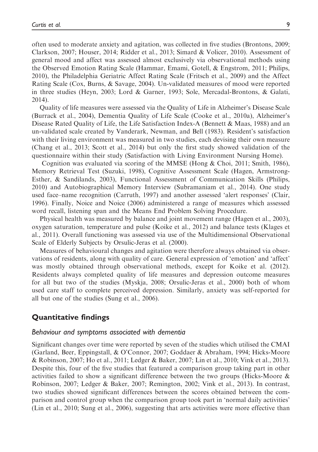often used to moderate anxiety and agitation, was collected in five studies (Brontons, 2009; Clarkson, 2007; Houser, 2014; [Ridder et al., 2013](#page-22-0); [Simard & Volicer, 2010](#page-22-0)). Assessment of general mood and affect was assessed almost exclusively via observational methods using the Observed Emotion Rating Scale [\(Hammar, Emami, Gotell,](#page-20-0) & [Engstrom, 2011;](#page-20-0) Philips, 2010), the Philadelphia Geriatric Affect Rating Scale ([Fritsch et al., 2009](#page-19-0)) and the Affect Rating Scale ([Cox, Burns, & Savage, 2004\)](#page-19-0). Un-validated measures of mood were reported in three studies (Heyn, 2003; [Lord & Garner, 1993](#page-21-0); [Sole, Mercadal-Brontons, & Galati,](#page-22-0) [2014](#page-22-0)).

Quality of life measures were assessed via the Quality of Life in Alzheimer's Disease Scale ([Burrack et al., 2004\)](#page-18-0), Dementia Quality of Life Scale [\(Cooke et al., 2010a](#page-19-0)), Alzheimer's Disease Rated Quality of Life, the Life Satisfaction Index-A [\(Bennett](#page-18-0) & [Maas, 1988](#page-18-0)) and an un-validated scale created by [Vanderark, Newman, and Bell \(1983\).](#page-23-0) Resident's satisfaction with their living environment was measured in two studies, each devising their own measure ([Chang et al., 2013](#page-19-0); [Scott et al., 2014](#page-22-0)) but only the first study showed validation of the questionnaire within their study (Satisfaction with Living Environment Nursing Home).

Cognition was evaluated via scoring of the MMSE ([Hong](#page-20-0) & [Choi, 2011](#page-20-0); [Smith, 1986](#page-22-0)), Memory Retrieval Test (Suzuki, 1998), Cognitive Assessment Scale ([Hagen, Armstrong-](#page-20-0)[Esther, & Sandilands, 2003\)](#page-20-0), Functional Assessment of Communication Skills (Philips, 2010) and Autobiographical Memory Interview ([Subramaniam et al., 2014\)](#page-22-0). One study used face–name recognition ([Carruth, 1997\)](#page-18-0) and another assessed 'alert responses' [\(Clair,](#page-19-0) [1996](#page-19-0)). Finally, [Noice and Noice \(2006\)](#page-22-0) administered a range of measures which assessed word recall, listening span and the Means End Problem Solving Procedure.

Physical health was measured by balance and joint movement range [\(Hagen et al., 2003](#page-20-0)), oxygen saturation, temperature and pulse ([Koike et al., 2012\)](#page-21-0) and balance tests [\(Klages et](#page-20-0) [al., 2011\)](#page-20-0). Overall functioning was assessed via use of the Multidimensional Observational Scale of Elderly Subjects by [Orsulic-Jeras et al. \(2000\).](#page-22-0)

Measures of behavioural changes and agitation were therefore always obtained via observations of residents, along with quality of care. General expression of 'emotion' and 'affect' was mostly obtained through observational methods, except for [Koike et al. \(2012\).](#page-21-0) Residents always completed quality of life measures and depression outcome measures for all but two of the studies (Myskja, 2008; [Orsulic-Jeras et al., 2000\)](#page-22-0) both of whom used care staff to complete perceived depression. Similarly, anxiety was self-reported for all but one of the studies [\(Sung et al., 2006\)](#page-22-0).

# Quantitative findings

#### Behaviour and symptoms associated with dementia

Significant changes over time were reported by seven of the studies which utilised the CMAI ([Garland, Beer, Eppingstall,](#page-19-0) [& O'Connor, 2007](#page-19-0); [Goddaer](#page-19-0) & [Abraham, 1994](#page-19-0); [Hicks-Moore](#page-20-0) & [Robinson, 2007](#page-20-0); [Ho et al., 2011;](#page-20-0) [Ledger & Baker, 2007; Lin et al., 2010](#page-21-0); [Vink et al., 2013](#page-23-0)). Despite this, four of the five studies that featured a comparison group taking part in other activities failed to show a significant difference between the two groups [\(Hicks-Moore &](#page-20-0) [Robinson, 2007](#page-20-0); [Ledger](#page-21-0) & [Baker, 2007](#page-21-0); [Remington, 2002](#page-22-0); [Vink et al., 2013](#page-23-0)). In contrast, two studies showed significant differences between the scores obtained between the comparison and control group when the comparison group took part in 'normal daily activities' ([Lin et al., 2010](#page-21-0); [Sung et al., 2006\)](#page-22-0), suggesting that arts activities were more effective than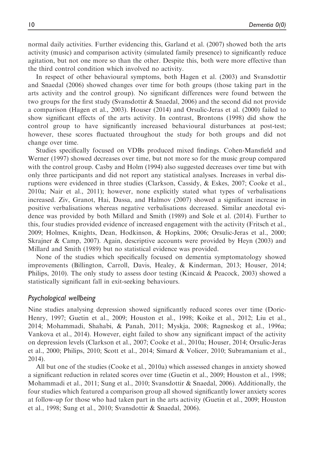normal daily activities. Further evidencing this, [Garland et al. \(2007\)](#page-19-0) showed both the arts activity (music) and comparison activity (simulated family presence) to significantly reduce agitation, but not one more so than the other. Despite this, both were more effective than the third control condition which involved no activity.

In respect of other behavioural symptoms, both [Hagen et al. \(2003\)](#page-20-0) and [Svansdottir](#page-23-0) [and Snaedal \(2006\)](#page-23-0) showed changes over time for both groups (those taking part in the arts activity and the control group). No significant differences were found between the two groups for the first study [\(Svansdottir](#page-23-0) [& Snaedal, 2006\)](#page-23-0) and the second did not provide a comparison [\(Hagen et al., 2003](#page-20-0)). Houser (2014) and [Orsulic-Jeras et al. \(2000\)](#page-22-0) failed to show significant effects of the arts activity. In contrast, Brontons (1998) did show the control group to have significantly increased behavioural disturbances at post-test; however, these scores fluctuated throughout the study for both groups and did not change over time.

Studies specifically focused on VDBs produced mixed findings. [Cohen-Mansfield and](#page-19-0) [Werner \(1997\)](#page-19-0) showed decreases over time, but not more so for the music group compared with the control group. [Casby and Holm \(1994\)](#page-18-0) also suggested decreases over time but with only three participants and did not report any statistical analyses. Increases in verbal disruptions were evidenced in three studies [\(Clarkson, Cassidy,](#page-19-0) & [Eskes, 2007](#page-19-0); [Cooke et al.,](#page-19-0) [2010a;](#page-19-0) [Nair et al., 2011\)](#page-21-0); however, none explicitly stated what types of verbalisations increased. [Ziv, Granot, Hai, Dassa, and Halmov \(2007\)](#page-23-0) showed a significant increase in positive verbalisations whereas negative verbalisations decreased. Similar anecdotal evidence was provided by both [Millard and Smith \(1989\)](#page-21-0) and [Sole et al. \(2014\)](#page-22-0). Further to this, four studies provided evidence of increased engagement with the activity [\(Fritsch et al.,](#page-19-0) [2009;](#page-19-0) [Holmes, Knights, Dean, Hodkinson,](#page-20-0) & [Hopkins, 2006;](#page-20-0) [Orsulic-Jeras et al., 2000;](#page-22-0) [Skrajner & Camp, 2007\)](#page-22-0). Again, descriptive accounts were provided by Heyn (2003) and [Millard and Smith \(1989\)](#page-21-0) but no statistical evidence was provided.

None of the studies which specifically focused on dementia symptomatology showed improvements ([Billington, Carroll, Davis, Healey, & Kinderman, 2013](#page-18-0); Houser, 2014; Philips, 2010). The only study to assess door testing [\(Kincaid & Peacock, 2003](#page-20-0)) showed a statistically significant fall in exit-seeking behaviours.

#### Psychological wellbeing

Nine studies analysing depression showed significantly reduced scores over time ([Doric-](#page-19-0)[Henry, 1997](#page-19-0); [Guetin et al., 2009](#page-20-0); [Houston et al., 1998;](#page-20-0) [Koike et al., 2012](#page-21-0); [Liu et al.,](#page-21-0) [2014; Mohammadi, Shahabi,](#page-21-0) & [Panah, 2011](#page-21-0); Myskja, 2008; [Ragneskog et al., 1996a;](#page-22-0) [Vankova et al., 2014](#page-23-0)). However, eight failed to show any significant impact of the activity on depression levels ([Clarkson et al., 2007](#page-19-0); [Cooke et al., 2010a](#page-19-0); Houser, 2014; [Orsulic-Jeras](#page-22-0) [et al., 2000](#page-22-0); Philips, 2010; [Scott et al., 2014](#page-22-0); [Simard & Volicer, 2010; Subramaniam et al.,](#page-22-0) [2014\)](#page-22-0).

All but one of the studies ([Cooke et al., 2010a\)](#page-19-0) which assessed changes in anxiety showed a significant reduction in related scores over time [\(Guetin et al., 2009](#page-20-0); [Houston et al., 1998;](#page-20-0) [Mohammadi et al., 2011;](#page-21-0) [Sung et al., 2010](#page-22-0); [Svansdottir](#page-23-0) & [Snaedal, 2006\)](#page-23-0). Additionally, the four studies which featured a comparison group all showed significantly lower anxiety scores at follow-up for those who had taken part in the arts activity [\(Guetin et al., 2009; Houston](#page-20-0) [et al., 1998](#page-20-0); [Sung et al., 2010;](#page-22-0) [Svansdottir](#page-23-0) & [Snaedal, 2006\)](#page-23-0).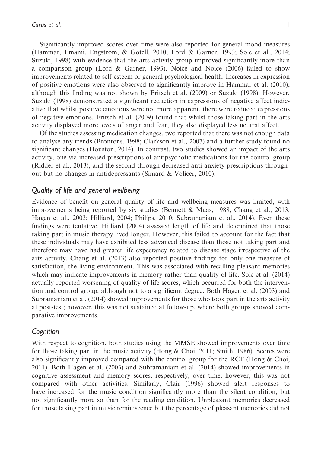Significantly improved scores over time were also reported for general mood measures ([Hammar, Emami, Engstrom,](#page-20-0) & [Gotell, 2010;](#page-20-0) [Lord & Garner, 1993](#page-21-0); [Sole et al., 2014;](#page-22-0) Suzuki, 1998) with evidence that the arts activity group improved significantly more than a comparison group [\(Lord](#page-21-0) [& Garner, 1993\)](#page-21-0). [Noice and Noice \(2006\)](#page-22-0) failed to show improvements related to self-esteem or general psychological health. Increases in expression of positive emotions were also observed to significantly improve in [Hammar et al. \(2010\),](#page-20-0) although this finding was not shown by [Fritsch et al. \(2009\)](#page-19-0) or Suzuki (1998). However, Suzuki (1998) demonstrated a significant reduction in expressions of negative affect indicative that whilst positive emotions were not more apparent, there were reduced expressions of negative emotions. [Fritsch et al. \(2009\)](#page-19-0) found that whilst those taking part in the arts activity displayed more levels of anger and fear, they also displayed less neutral affect.

Of the studies assessing medication changes, two reported that there was not enough data to analyse any trends (Brontons, 1998; [Clarkson et al., 2007\)](#page-19-0) and a further study found no significant changes (Houston, 2014). In contrast, two studies showed an impact of the arts activity, one via increased prescriptions of antipsychotic medications for the control group ([Ridder et al., 2013](#page-22-0)), and the second through decreased anti-anxiety prescriptions throughout but no changes in antidepressants ([Simard](#page-22-0) & [Volicer, 2010](#page-22-0)).

# Quality of life and general wellbeing

Evidence of benefit on general quality of life and wellbeing measures was limited, with improvements being reported by six studies [\(Bennett](#page-18-0) [& Maas, 1988](#page-18-0); [Chang et al., 2013;](#page-19-0) [Hagen et al., 2003](#page-20-0); [Hilliard, 2004;](#page-20-0) Philips, 2010; [Subramaniam et al., 2014\)](#page-22-0). Even these findings were tentative, [Hilliard \(2004\)](#page-20-0) assessed length of life and determined that those taking part in music therapy lived longer. However, this failed to account for the fact that these individuals may have exhibited less advanced disease than those not taking part and therefore may have had greater life expectancy related to disease stage irrespective of the arts activity. [Chang et al. \(2013\)](#page-19-0) also reported positive findings for only one measure of satisfaction, the living environment. This was associated with recalling pleasant memories which may indicate improvements in memory rather than quality of life. [Sole et al. \(2014\)](#page-22-0) actually reported worsening of quality of life scores, which occurred for both the intervention and control group, although not to a significant degree. Both [Hagen et al. \(2003\)](#page-20-0) and [Subramaniam et al. \(2014\)](#page-22-0) showed improvements for those who took part in the arts activity at post-test; however, this was not sustained at follow-up, where both groups showed comparative improvements.

# Cognition

With respect to cognition, both studies using the MMSE showed improvements over time for those taking part in the music activity [\(Hong & Choi, 2011;](#page-20-0) [Smith, 1986](#page-22-0)). Scores were also significantly improved compared with the control group for the RCT ([Hong & Choi,](#page-20-0) [2011](#page-20-0)). Both [Hagen et al. \(2003\)](#page-20-0) and [Subramaniam et al. \(2014\)](#page-22-0) showed improvements in cognitive assessment and memory scores, respectively, over time; however, this was not compared with other activities. Similarly, [Clair \(1996\)](#page-19-0) showed alert responses to have increased for the music condition significantly more than the silent condition, but not significantly more so than for the reading condition. Unpleasant memories decreased for those taking part in music reminiscence but the percentage of pleasant memories did not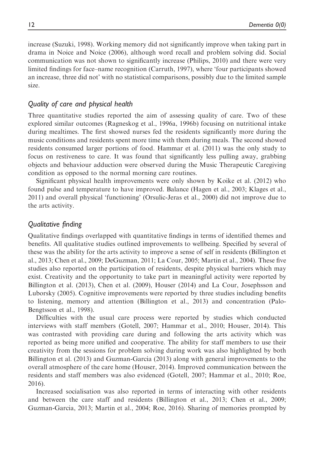increase (Suzuki, 1998). Working memory did not significantly improve when taking part in drama in [Noice and Noice \(2006\)](#page-22-0), although word recall and problem solving did. Social communication was not shown to significantly increase (Philips, 2010) and there were very limited findings for face–name recognition ([Carruth, 1997](#page-18-0)), where 'four participants showed an increase, three did not' with no statistical comparisons, possibly due to the limited sample size.

#### Quality of care and physical health

Three quantitative studies reported the aim of assessing quality of care. Two of these explored similar outcomes (Ragneskog et al., [1996a](#page-22-0), [1996b\)](#page-22-0) focusing on nutritional intake during mealtimes. The first showed nurses fed the residents significantly more during the music conditions and residents spent more time with them during meals. The second showed residents consumed larger portions of food. [Hammar et al. \(2011\)](#page-20-0) was the only study to focus on restiveness to care. It was found that significantly less pulling away, grabbing objects and behaviour adduction were observed during the Music Therapeutic Caregiving condition as opposed to the normal morning care routines.

Significant physical health improvements were only shown by [Koike et al. \(2012\)](#page-21-0) who found pulse and temperature to have improved. Balance ([Hagen et al., 2003](#page-20-0); [Klages et al.,](#page-20-0) [2011\)](#page-20-0) and overall physical 'functioning' [\(Orsulic-Jeras et al., 2000](#page-22-0)) did not improve due to the arts activity.

#### Qualitative finding

Qualitative findings overlapped with quantitative findings in terms of identified themes and benefits. All qualitative studies outlined improvements to wellbeing. Specified by several of these was the ability for the arts activity to improve a sense of self in residents ([Billington et](#page-18-0) [al., 2013](#page-18-0); [Chen et al., 2009;](#page-19-0) DeGuzman, 2011; La Cour, 2005; [Martin et al., 2004](#page-21-0)). These five studies also reported on the participation of residents, despite physical barriers which may exist. Creativity and the opportunity to take part in meaningful activity were reported by [Billington et al. \(2013\),](#page-18-0) [Chen et al. \(2009\)](#page-19-0), Houser (2014) and [La Cour, Josephsson and](#page-21-0) [Luborsky \(2005\).](#page-21-0) Cognitive improvements were reported by three studies including benefits to listening, memory and attention ([Billington et al., 2013](#page-18-0)) and concentration [\(Palo-](#page-22-0)[Bengtsson et al., 1998](#page-22-0)).

Difficulties with the usual care process were reported by studies which conducted interviews with staff members (Gotell, 2007; [Hammar et al., 2010](#page-20-0); Houser, 2014). This was contrasted with providing care during and following the arts activity which was reported as being more unified and cooperative. The ability for staff members to use their creativity from the sessions for problem solving during work was also highlighted by both [Billington et al. \(2013\)](#page-18-0) and Guzman-Garcia (2013) along with general improvements to the overall atmosphere of the care home (Houser, 2014). Improved communication between the residents and staff members was also evidenced (Gotell, 2007; [Hammar et al., 2010](#page-20-0); Roe, 2016).

Increased socialisation was also reported in terms of interacting with other residents and between the care staff and residents ([Billington et al., 2013](#page-18-0); [Chen et al., 2009;](#page-19-0) Guzman-Garcia, 2013; [Martin et al., 2004](#page-21-0); Roe, 2016). Sharing of memories prompted by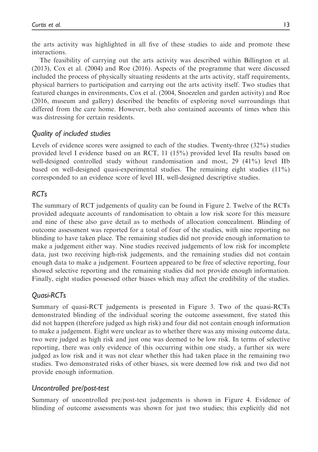the arts activity was highlighted in all five of these studies to aide and promote these interactions.

The feasibility of carrying out the arts activity was described within [Billington et al.](#page-18-0) [\(2013\),](#page-18-0) [Cox et al. \(2004\)](#page-19-0) and Roe (2016). Aspects of the programme that were discussed included the process of physically situating residents at the arts activity, staff requirements, physical barriers to participation and carrying out the arts activity itself. Two studies that featured changes in environments, [Cox et al. \(2004](#page-19-0), Snoezelen and garden activity) and Roe (2016, museum and gallery) described the benefits of exploring novel surroundings that differed from the care home. However, both also contained accounts of times when this was distressing for certain residents.

# Quality of included studies

Levels of evidence scores were assigned to each of the studies. Twenty-three (32%) studies provided level I evidence based on an RCT, 11 (15%) provided level IIa results based on well-designed controlled study without randomisation and most, 29 (41%) level IIb based on well-designed quasi-experimental studies. The remaining eight studies (11%) corresponded to an evidence score of level III, well-designed descriptive studies.

# RCTs

The summary of RCT judgements of quality can be found in [Figure 2.](#page-13-0) Twelve of the RCTs provided adequate accounts of randomisation to obtain a low risk score for this measure and nine of these also gave detail as to methods of allocation concealment. Blinding of outcome assessment was reported for a total of four of the studies, with nine reporting no blinding to have taken place. The remaining studies did not provide enough information to make a judgement either way. Nine studies received judgements of low risk for incomplete data, just two receiving high-risk judgements, and the remaining studies did not contain enough data to make a judgement. Fourteen appeared to be free of selective reporting, four showed selective reporting and the remaining studies did not provide enough information. Finally, eight studies possessed other biases which may affect the credibility of the studies.

# Quasi-RCTs

Summary of quasi-RCT judgements is presented in [Figure 3.](#page-14-0) Two of the quasi-RCTs demonstrated blinding of the individual scoring the outcome assessment, five stated this did not happen (therefore judged as high risk) and four did not contain enough information to make a judgement. Eight were unclear as to whether there was any missing outcome data, two were judged as high risk and just one was deemed to be low risk. In terms of selective reporting, there was only evidence of this occurring within one study, a further six were judged as low risk and it was not clear whether this had taken place in the remaining two studies. Two demonstrated risks of other biases, six were deemed low risk and two did not provide enough information.

# Uncontrolled pre/post-test

Summary of uncontrolled pre/post-test judgements is shown in [Figure 4.](#page-15-0) Evidence of blinding of outcome assessments was shown for just two studies; this explicitly did not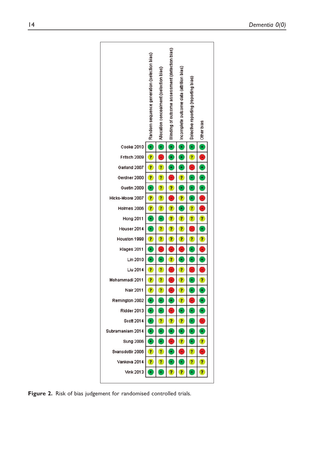<span id="page-13-0"></span>

Figure 2. Risk of bias judgement for randomised controlled trials.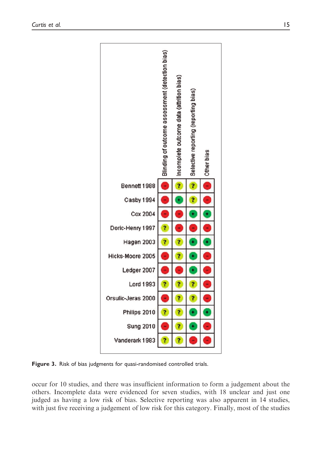<span id="page-14-0"></span>

Figure 3. Risk of bias judgments for quasi-randomised controlled trials.

occur for 10 studies, and there was insufficient information to form a judgement about the others. Incomplete data were evidenced for seven studies, with 18 unclear and just one judged as having a low risk of bias. Selective reporting was also apparent in 14 studies, with just five receiving a judgement of low risk for this category. Finally, most of the studies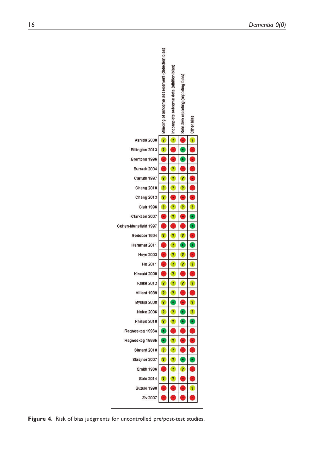<span id="page-15-0"></span>

Figure 4. Risk of bias judgments for uncontrolled pre/post-test studies.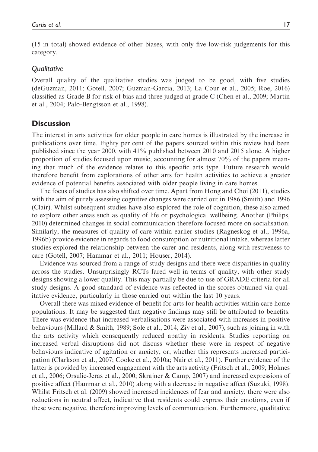(15 in total) showed evidence of other biases, with only five low-risk judgements for this category.

#### **Qualitative**

Overall quality of the qualitative studies was judged to be good, with five studies (deGuzman, 2011; Gotell, 2007; Guzman-Garcia, 2013; [La Cour et al., 2005](#page-21-0); Roe, 2016) classified as Grade B for risk of bias and three judged at grade C ([Chen et al., 2009](#page-19-0); [Martin](#page-21-0) [et al., 2004;](#page-21-0) [Palo-Bengtsson et al., 1998\)](#page-22-0).

# Discussion

The interest in arts activities for older people in care homes is illustrated by the increase in publications over time. Eighty per cent of the papers sourced within this review had been published since the year 2000, with 41% published between 2010 and 2015 alone. A higher proportion of studies focused upon music, accounting for almost 70% of the papers meaning that much of the evidence relates to this specific arts type. Future research would therefore benefit from explorations of other arts for health activities to achieve a greater evidence of potential benefits associated with older people living in care homes.

The focus of studies has also shifted over time. Apart from [Hong and Choi \(2011\)](#page-20-0), studies with the aim of purely assessing cognitive changes were carried out in 1986 (Smith) and 1996 (Clair). Whilst subsequent studies have also explored the role of cognition, these also aimed to explore other areas such as quality of life or psychological wellbeing. Another (Philips, 2010) determined changes in social communication therefore focused more on socialisation. Similarly, the measures of quality of care within earlier studies (Ragneskog et al., [1996a,](#page-22-0) [1996b\)](#page-22-0) provide evidence in regards to food consumption or nutritional intake, whereas latter studies explored the relationship between the carer and residents, along with restiveness to care (Gotell, 2007; [Hammar et al., 2011;](#page-20-0) Houser, 2014).

Evidence was sourced from a range of study designs and there were disparities in quality across the studies. Unsurprisingly RCTs fared well in terms of quality, with other study designs showing a lower quality. This may partially be due to use of GRADE criteria for all study designs. A good standard of evidence was reflected in the scores obtained via qualitative evidence, particularly in those carried out within the last 10 years.

Overall there was mixed evidence of benefit for arts for health activities within care home populations. It may be suggested that negative findings may still be attributed to benefits. There was evidence that increased verbalisations were associated with increases in positive behaviours ([Millard & Smith, 1989;](#page-21-0) [Sole et al., 2014](#page-22-0); [Ziv et al., 2007](#page-23-0)), such as joining in with the arts activity which consequently reduced apathy in residents. Studies reporting on increased verbal disruptions did not discuss whether these were in respect of negative behaviours indicative of agitation or anxiety, or, whether this represents increased participation ([Clarkson et al., 2007; Cooke et al., 2010a](#page-19-0); [Nair et al., 2011](#page-21-0)). Further evidence of the latter is provided by increased engagement with the arts activity [\(Fritsch et al., 2009](#page-19-0); [Holmes](#page-20-0) [et al., 2006;](#page-20-0) [Orsulic-Jeras et al., 2000](#page-22-0); [Skrajner & Camp, 2007\)](#page-22-0) and increased expressions of positive affect ([Hammar et al., 2010\)](#page-20-0) along with a decrease in negative affect (Suzuki, 1998). Whilst [Fritsch et al. \(2009\)](#page-19-0) showed increased incidences of fear and anxiety, there were also reductions in neutral affect, indicative that residents could express their emotions, even if these were negative, therefore improving levels of communication. Furthermore, qualitative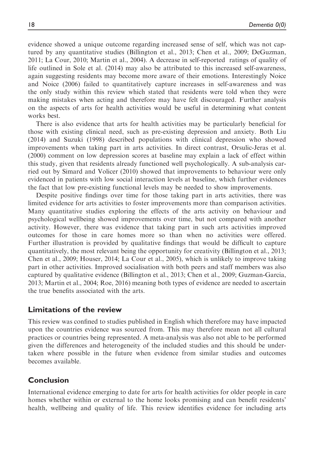evidence showed a unique outcome regarding increased sense of self, which was not captured by any quantitative studies ([Billington et al., 2013;](#page-18-0) [Chen et al., 2009;](#page-19-0) DeGuzman, 2011; La Cour, 2010; [Martin et al., 2004](#page-21-0)). A decrease in self-reported ratings of quality of life outlined in [Sole et al. \(2014\)](#page-22-0) may also be attributed to this increased self-awareness, again suggesting residents may become more aware of their emotions. Interestingly [Noice](#page-22-0) [and Noice \(2006\)](#page-22-0) failed to quantitatively capture increases in self-awareness and was the only study within this review which stated that residents were told when they were making mistakes when acting and therefore may have felt discouraged. Further analysis on the aspects of arts for health activities would be useful in determining what content works best.

There is also evidence that arts for health activities may be particularly beneficial for those with existing clinical need, such as pre-existing depression and anxiety. Both Liu (2014) and Suzuki (1998) described populations with clinical depression who showed improvements when taking part in arts activities. In direct contrast, [Orsulic-Jeras et al.](#page-22-0) [\(2000\)](#page-22-0) comment on low depression scores at baseline may explain a lack of effect within this study, given that residents already functioned well psychologically. A sub-analysis carried out by [Simard and Volicer \(2010\)](#page-22-0) showed that improvements to behaviour were only evidenced in patients with low social interaction levels at baseline, which further evidences the fact that low pre-existing functional levels may be needed to show improvements.

Despite positive findings over time for those taking part in arts activities, there was limited evidence for arts activities to foster improvements more than comparison activities. Many quantitative studies exploring the effects of the arts activity on behaviour and psychological wellbeing showed improvements over time, but not compared with another activity. However, there was evidence that taking part in such arts activities improved outcomes for those in care homes more so than when no activities were offered. Further illustration is provided by qualitative findings that would be difficult to capture quantitatively, the most relevant being the opportunity for creativity ([Billington et al., 2013;](#page-18-0) [Chen et al., 2009](#page-19-0); Houser, 2014; [La Cour et al., 2005\)](#page-21-0), which is unlikely to improve taking part in other activities. Improved socialisation with both peers and staff members was also captured by qualitative evidence ([Billington et al., 2013;](#page-18-0) [Chen et al., 2009](#page-19-0); Guzman-Garcia, 2013; [Martin et al., 2004](#page-21-0); Roe, 2016) meaning both types of evidence are needed to ascertain the true benefits associated with the arts.

# Limitations of the review

This review was confined to studies published in English which therefore may have impacted upon the countries evidence was sourced from. This may therefore mean not all cultural practices or countries being represented. A meta-analysis was also not able to be performed given the differences and heterogeneity of the included studies and this should be undertaken where possible in the future when evidence from similar studies and outcomes becomes available.

# Conclusion

International evidence emerging to date for arts for health activities for older people in care homes whether within or external to the home looks promising and can benefit residents' health, wellbeing and quality of life. This review identifies evidence for including arts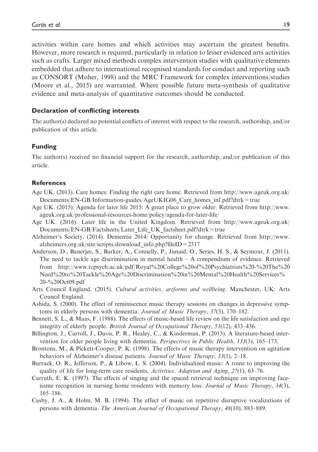<span id="page-18-0"></span>activities within care homes and which activities may ascertain the greatest benefits. However, more research is required, particularly in relation to lesser evidenced arts activities such as crafts. Larger mixed methods complex intervention studies with qualitative elements embedded that adhere to international recognised standards for conduct and reporting such as CONSORT ([Moher, 1998\)](#page-21-0) and the MRC Framework for complex interventions/studies ([Moore et al., 2015](#page-21-0)) are warranted. Where possible future meta-synthesis of qualitative evidence and meta-analysis of quantitative outcomes should be conducted.

#### Declaration of conflicting interests

The author(s) declared no potential conflicts of interest with respect to the research, authorship, and/or publication of this article.

#### Funding

The author(s) received no financial support for the research, authorship, and/or publication of this article.

#### **References**

- Age UK. (2013). Care homes: Finding the right care home. Retrieved from [http://www.ageuk.org.uk/](http://www.ageuk.org.uk/Documents/EN-GB/Information-guides/AgeUKIG06_Care_homes_inf.pdf?dtrk=true) Documents/EN-GB/Information-guides/AgeUKIG06 Care homes inf.pdf?dtrk=true
- Age UK. (2015). Agenda for later life 2015: A great place to grow older. Retrieved from [http://www.](http://www.ageuk.org.uk/professional-resources-home/policy/agenda-for-later-life/) [ageuk.org.uk/professional-resources-home/policy/agenda-for-later-life/](http://www.ageuk.org.uk/professional-resources-home/policy/agenda-for-later-life/)
- Age UK. (2016). Later life in the United Kingdom. Retrieved from [http://www.ageuk.org.uk/](http://www.ageuk.org.uk/Documents/EN-GB/Factsheets/Later_Life_UK_factsheet.pdf?dtrk=true) [Documents/EN-GB/Factsheets/Later\\_Life\\_UK\\_factsheet.pdf?dtrk=true](http://www.ageuk.org.uk/Documents/EN-GB/Factsheets/Later_Life_UK_factsheet.pdf?dtrk=true)
- Alzheimer's Society. (2014). Dementia 2014: Opportunity for change. Retrieved from [http://www.](http://www.alzheimers.org.uk/site/scripts/download_info.php?fileID=2317) [alzheimers.org.uk/site/scripts/download\\_info.php?fileID=2317](http://www.alzheimers.org.uk/site/scripts/download_info.php?fileID=2317)
- Anderson, D., Banerjee, S., Barker, A., Connelly, P., Junaid, O., Series, H. S., & Seymour, J. (2011). The need to tackle age discrimination in mental health  $- A$  compendium of evidence. Retrieved from [http://www.rcpsych.ac.uk/pdf/Royal%20College%20of](http://www.rcpsych.ac.uk/pdf/Royal20College20of20Psychiatrists20-20The20 Need20to20Tackle20Age20Discrimination20in20Mental20Health20Services20-20Oct09.pdf)%[20Psychiatrists%20-%20The%20](http://www.rcpsych.ac.uk/pdf/Royal20College20of20Psychiatrists20-20The20 Need20to20Tackle20Age20Discrimination20in20Mental20Health20Services20-20Oct09.pdf) [Need%20to%20Tackle%20Age%20Discrimination%20in%20Mental%20Health%20Services](http://www.rcpsych.ac.uk/pdf/Royal20College20of20Psychiatrists20-20The20 Need20to20Tackle20Age20Discrimination20in20Mental20Health20Services20-20Oct09.pdf)% [20-%20Oct09.pdf](http://www.rcpsych.ac.uk/pdf/Royal20College20of20Psychiatrists20-20The20 Need20to20Tackle20Age20Discrimination20in20Mental20Health20Services20-20Oct09.pdf)
- Arts Council England. (2015). Cultural activities, artforms and wellbeing. Manchester, UK: Arts Council England.
- Ashida, S. (2000). The effect of reminiscence music therapy sessions on changes in depressive symptoms in elderly persons with dementia. Journal of Music Therapy, 37(3), 170–182.
- Bennett, S. L., & Maas, F. (1988). The effects of music-based life review on the life satisfaction and ego integrity of elderly people. British Journal of Occupational Therapy, 51(12), 433–436.
- Billington, J., Carroll, J., Davis, P. R., Healey, C., & Kinderman, P. (2013). A literature-based intervention for older people living with dementia. Perspectives in Public Health, 133(3), 165–173.
- Brontons, M., & Pickett-Cooper, P. K. (1998). The effects of music therapy intervention on agitation behaviors of Alzheimer's disease patients. Journal of Music Therapy, 33(1), 2–18.
- Burrack, O. R., Jefferson, P., & Libow, L. S. (2004). Individualized music: A route to improving the quality of life for long-term care residents. Activities, Adaption and Aging, 27(1), 63–76.
- Carruth, E. K. (1997). The effects of singing and the spaced retrieval technique on improving facename recognition in nursing home residents with memory loss. Journal of Music Therapy, 34(3), 165–186.
- Casby, J. A., & Holm, M. B. (1994). The effect of music on repetitive disruptive vocalizations of persons with dementia. The American Journal of Occupational Therapy, 48(10), 883–889.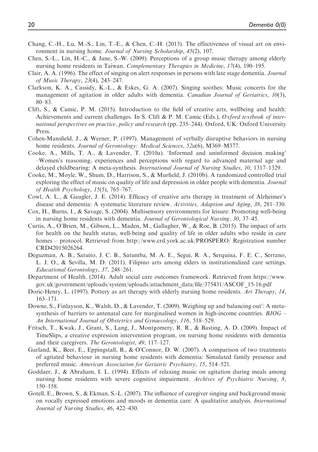- <span id="page-19-0"></span>Chang, C.-H., Lu, M.-S., Lin, T.-E., & Chen, C.-H. (2013). The effectiveness of visual art on environment in nursing home. Journal of Nursing Scholarship, 45(2), 107.
- Chen, S.-L., Lin, H.-C., & Jane, S.-W. (2009). Perceptions of a group music therapy among elderly nursing home residents in Taiwan. Complementary Therapies in Medicine, 17(4), 190–195.
- Clair, A. A. (1996). The effect of singing on alert responses in persons with late stage dementia. Journal of Music Therapy, 23(4), 243–247.
- Clarkson, K. A., Cassidy, K.-L., & Eskes, G. A. (2007). Singing soothes: Music concerts for the management of agitation in older adults with dementia. Canadian Journal of Geriatrics, 10(3), 80–83.
- Clift, S., & Camic, P. M. (2015). Introduction to the field of creative arts, wellbeing and health: Achievements and current challenges. In S. Clift & P. M. Camic (Eds.), Oxford textbook of international perspectives on practice, policy and research (pp. 235–244). Oxford, UK: Oxford University Press.
- Cohen-Mansfield, J., & Werner, P. (1997). Management of verbally disruptive behaviors in nursing home residents. Journal of Gerontology: Medical Sciences, 52a(6), M369–M377.
- Cooke, A., Mills, T. A., & Lavender, T. (2010a). 'Informed and uninformed decision making' –Women's reasoning, experiences and perceptions with regard to advanced maternal age and delayed childbearing: A meta-synthesis. International Journal of Nursing Studies, 10, 1317–1329.
- Cooke, M., Moyle, W., Shum, D., Harrison, S., & Murfield, J. (2010b). A randomized controlled trial exploring the effect of music on quality of life and depression in older people with dementia. Journal of Health Psychology, 15(5), 765–767.
- Cowl, A. L., & Gaugler, J. E. (2014). Efficacy of creative arts therapy in treatment of Alzheimer's disease and dementia: A systematic literature review. Activities, Adaption and Aging, 38, 281–330.
- Cox, H., Burns, I., & Savage, S. (2004). Multisensory environments for leisure: Promoting well-being in nursing home residents with dementia. Journal of Gerontological Nursing, 30, 37–45.
- Curtis, A., O'Brien, M., Gibson, L., Maden, M., Gallagher, W., & Roe, B. (2015). The impact of arts for health on the health status, well-being and quality of life in older adults who reside in care homes – protocol. Retrieved from<http://www.crd.york.ac.uk/PROSPERO/> Registration number CRD42015026264.
- Deguzman, A. B., Satuito, J. C. B., Satumba, M. A. E., Segui, R. A., Serquina, F. E. C., Serrano, L. J. O., & Sevilla, M. D. (2011). Filipino arts among elders in institutionalized care settings. Educational Gerontology, 37, 248–261.
- Department of Health. (2014). Adult social care outcomes framework. Retrieved from [https://www.](https://www.gov.uk/government/uploads/system/uploads/attachment_data/file/375431/ASCOF_15-16.pdf) [gov.uk/government/uploads/system/uploads/attachment\\_data/file/375431/ASCOF\\_15-16.pdf](https://www.gov.uk/government/uploads/system/uploads/attachment_data/file/375431/ASCOF_15-16.pdf)
- Doric-Henry, L. (1997). Pottery as art therapy with elderly nursing home residents. Art Therapy, 14, 163–171.
- Downe, S., Finlayson, K., Walsh, D., & Lavender, T. (2009). Weighing up and balancing out': A metasynthesis of barriers to antenatal care for marginalised women in high-income countries.  $BJOG -$ An International Journal of Obstetrics and Gynaecology, 116, 518–529.
- Fritsch, T., Kwak, J., Grant, S., Lang, J., Montgomery, R. R., & Basting, A. D. (2009). Impact of TimeSlips, a creative expression intervention program, on nursing home residents with dementia and their caregivers. The Gerontologist, 49, 117–127.
- Garland, K., Beer, E., Eppingstall, B., & O'Connor, D. W. (2007). A comparison of two treatments of agitated behaviour in nursing home residents with dementia: Simulated family presence and preferred music. American Association for Geriatric Psychiatry, 15, 514–521.
- Goddaer, J., & Abraham, I. L. (1994). Effects of relaxing music on agitation during meals among nursing home residents with severe cognitive impairment. Archives of Psychiatric Nursing, 8, 150–158.
- Gotell, E., Brown, S., & Ekman, S.-L. (2007). The influence of caregiver singing and background music on vocally expressed emotions and moods in dementia care: A qualitative analysis. International Journal of Nursing Studies, 46, 422–430.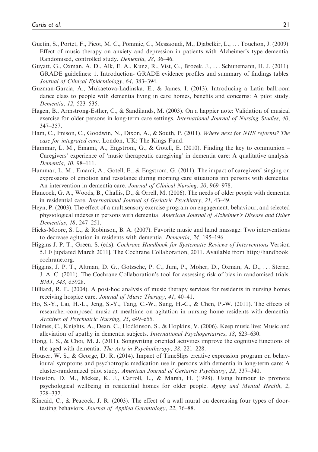- <span id="page-20-0"></span>Guetin, S., Portet, F., Picot, M. C., Pommie, C., Messaoudi, M., Djabelkir, L., ... Touchon, J. (2009). Effect of music therapy on anxiety and depression in patients with Alzheimer's type dementia: Randomised, controlled study. Dementia, 28, 36–46.
- Guyatt, G., Oxman, A. D., Alk, E. A., Kunz, R., Vist, G., Brozek, J., ... Schunemann, H. J. (2011). GRADE guidelines: 1. Introduction- GRADE evidence profiles and summary of findings tables. Journal of Clinical Epidemiology, 64, 383–394.
- Guzman-Garcia, A., Mukaetova-Ladinska, E., & James, I. (2013). Introducing a Latin ballroom dance class to people with dementia living in care homes, benefits and concerns: A pilot study. Dementia, 12, 523–535.
- Hagen, B., Armstrong-Esther, C., & Sandilands, M. (2003). On a happier note: Validation of musical exercise for older persons in long-term care settings. International Journal of Nursing Studies, 40, 347–357.
- Ham, C., Imison, C., Goodwin, N., Dixon, A., & South, P. (2011). Where next for NHS reforms? The case for integrated care. London, UK: The Kings Fund.
- Hammar, L. M., Emami, A., Engstrom, G., & Gotell, E. (2010). Finding the key to communion Caregivers' experience of 'music therapeutic caregiving' in dementia care: A qualitative analysis. Dementia, 10, 98–111.
- Hammar, L. M., Emami, A., Gotell, E., & Engstrom, G. (2011). The impact of caregivers' singing on expressions of emotion and resistance during morning care situations inn persons with dementia: An intervention in dementia care. Journal of Clinical Nursing, 20, 969–978.
- Hancock, G. A., Woods, B., Challis, D., & Orrell, M. (2006). The needs of older people with dementia in residential care. International Journal of Geriatric Psychiatry, 21, 43–49.
- Heyn, P. (2003). The effect of a multisensory exercise program on engagement, behaviour, and selected physiological indexes in persons with dementia. American Journal of Alzheimer's Disease and Other Dementias, 18, 247–251.
- Hicks-Moore, S. L., & Robinson, B. A. (2007). Favorite music and hand massage: Two interventions to decrease agitation in residents with dementia. Dementia, 24, 195–196.
- Higgins J. P. T., Green. S. (eds). Cochrane Handbook for Systematic Reviews of Interventions Version 5.1.0 [updated March 2011]. The Cochrane Collaboration, 2011. Available from http://handbook. cochrane.org.
- Higgins, J. P. T., Altman, D. G., Gotzsche, P. C., Juni, P., Moher, D., Oxman, A. D., ... Sterne, J. A. C. (2011). The Cochrane Collaboration's tool for assessing risk of bias in randomised trials. BMJ, 343, d5928.
- Hilliard, R. E. (2004). A post-hoc analysis of music therapy services for residents in nursing homes receiving hospice care. Journal of Music Therapy, 41, 40–41.
- Ho, S.-Y., Lai, H.-L., Jeng, S.-Y., Tang, C.-W., Sung, H.-C., & Chen, P.-W. (2011). The effects of researcher-composed music at mealtime on agitation in nursing home residents with dementia. Archives of Psychiatric Nursing, 25, e49–e55.
- Holmes, C., Knights, A., Dean, C., Hodkinson, S., & Hopkins, V. (2006). Keep music live: Music and alleviation of apathy in dementia subjects. International Psychogeriatrics, 18, 623–630.
- Hong, I. S., & Choi, M. J. (2011). Songwriting oriented activities improve the cognitive functions of the aged with dementia. The Arts in Psychotherapy, 38, 221–228.
- Houser, W. S., & George, D. R. (2014). Impact of TimeSlips creative expression program on behavioural symptoms and psychotropic medication use in persons with dementia in long-term care: A cluster-randomized pilot study. American Journal of Geriatric Psychiatry, 22, 337–340.
- Houston, D. M., Mckee, K. J., Carroll, L., & Marsh, H. (1998). Using humour to promote psychological wellbeing in residential homes for older people. Aging and Mental Health, 2, 328–332.
- Kincaid, C., & Peacock, J. R. (2003). The effect of a wall mural on decreasing four types of doortesting behaviors. Journal of Applied Gerontology, 22, 76–88.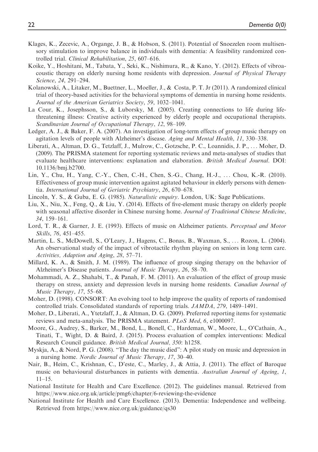- <span id="page-21-0"></span>Klages, K., Zecevic, A., Organge, J. B., & Hobson, S. (2011). Potential of Snoezelen room multisensory stimulation to improve balance in individuals with dementia: A feasibility randomized controlled trial. Clinical Rehabilitation, 25, 607–616.
- Koike, Y., Hoshitani, M., Tabata, Y., Seki, K., Nishimura, R., & Kano, Y. (2012). Effects of vibroacoustic therapy on elderly nursing home residents with depression. Journal of Physical Therapy Science, 24, 291–294.
- Kolanowski, A., Litaker, M., Buettner, L., Moeller, J., & Costa, P. T. Jr (2011). A randomized clinical trial of theory-based activities for the behavioral symptoms of dementia in nursing home residents. Journal of the American Geriatrics Society, 59, 1032–1041.
- La Cour, K., Josephsson, S., & Luborsky, M. (2005). Creating connections to life during lifethreatening illness: Creative activity experienced by elderly people and occupational therapists. Scandinavian Journal of Occupational Therapy, 12, 98–109.
- Ledger, A. J., & Baker, F. A. (2007). An investigation of long-term effects of group music therapy on agitation levels of people with Alzheimer's disease. Aging and Mental Health, 11, 330–338.
- Liberati, A., Altman, D. G., Tetzlaff, J., Mulrow, C., Gotzsche, P. C., Loannidis, J. P., ... Moher, D. (2009). The PRISMA statement for reporting systematic reviews and meta-analyses of studies that evaluate healthcare interventions: explanation and elaboration. British Medical Journal. DOI: 10.1136/bmj.b2700.
- Lin, Y., Chu, H., Yang, C.-Y., Chen, C.-H., Chen, S.-G., Chang, H.-J., ... Chou, K.-R. (2010). Effectiveness of group music intervention against agitated behaviour in elderly persons with dementia. International Journal of Geriatric Psychiatry, 26, 670–678.
- Lincoln, Y. S., & Guba, E. G. (1985). Naturalistic enquiry. London, UK: Sage Publications.
- Liu, X., Niu, X., Feng, Q., & Liu, Y. (2014). Effects of five-element music therapy on elderly people with seasonal affective disorder in Chinese nursing home. Journal of Traditional Chinese Medicine, 34, 159–161.
- Lord, T. R., & Garner, J. E. (1993). Effects of music on Alzheimer patients. Perceptual and Motor Skills, 76, 451–455.
- Martin, L. S., McDowell, S., O'Leary, J., Hagens, C., Bonas, B., Waxman, S., ... Rozon, L. (2004). An observational study of the impact of vibrotactile rhythm playing on seniors in long term care. Activities, Adaption and Aging, 28, 57–71.
- Millard, K. A., & Smith, J. M. (1989). The influence of group singing therapy on the behavior of Alzheimer's Disease patients. Journal of Music Therapy, 26, 58–70.
- Mohammadi, A. Z., Shahabi, T., & Panah, F. M. (2011). An evaluation of the effect of group music therapy on stress, anxiety and depression levels in nursing home residents. Canadian Journal of Music Therapy, 17, 55–68.
- Moher, D. (1998). CONSORT: An evolving tool to help improve the quality of reports of randomised controlled trials. Consolidated standards of reporting trials. JAMDA, 279, 1489–1491.
- Moher, D., Liberati, A., Ytetzlaff, J., & Altman, D. G. (2009). Preferred reporting items for systematic reviews and meta-analysis. The PRISMA statement. PLoS Med, 6, e1000097.
- Moore, G., Audrey, S., Barker, M., Bond, L., Bonell, C., Hardeman, W., Moore, L., O'Cathain, A., Tinati, T., Wight, D. & Baird, J. (2015). Process evaluation of complex interventions: Medical Research Council guidance. British Medical Journal, 350: h1258.
- Myskja, A., & Nord, P. G. (2008). "The day the music died": A pilot study on music and depression in a nursing home. Nordic Journal of Music Therapy, 17, 30–40.
- Nair, B., Heim, C., Krishnan, C., D'este, C., Marley, J., & Attia, J. (2011). The effect of Baroque music on behavioural disturbances in patients with dementia. Australian Journal of Ageing, 1,  $11-15$ .
- National Institute for Health and Care Excellence. (2012). The guidelines manual. Retrieved from <https://www.nice.org.uk/article/pmg6/chapter/6-reviewing-the-evidence>
- National Institute for Health and Care Excellence. (2013). Dementia: Independence and wellbeing. Retrieved from<https://www.nice.org.uk/guidance/qs30>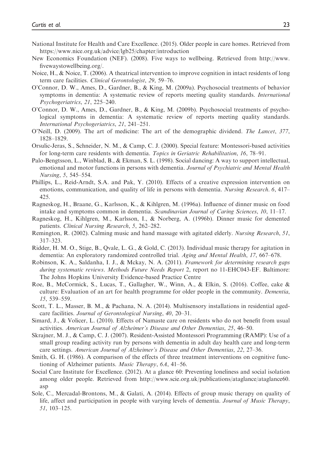- <span id="page-22-0"></span>National Institute for Health and Care Excellence. (2015). Older people in care homes. Retrieved from <https://www.nice.org.uk/advice/lgb25/chapter/introduction>
- New Economics Foundation (NEF). (2008). Five ways to wellbeing. Retrieved from [http://www.](http://www.fivewaystowellbeing.org) [fivewaystowellbeing.org/](http://www.fivewaystowellbeing.org).
- Noice, H., & Noice, T. (2006). A theatrical intervention to improve cognition in intact residents of long term care facilities. Clinical Gerontologist, 29, 59–76.
- O'Connor, D. W., Ames, D., Gardner, B., & King, M. (2009a). Psychosocial treatments of behavior symptoms in dementia: A systematic review of reports meeting quality standards. *International* Psychogeriatrics, 21, 225–240.
- O'Connor, D. W., Ames, D., Gardner, B., & King, M. (2009b). Psychosocial treatments of psychological symptoms in dementia: A systematic review of reports meeting quality standards. International Psychogeriatrics, 21, 241–251.
- O'Neill, D. (2009). The art of medicine: The art of the demographic dividend. The Lancet, 377, 1828–1829.
- Orsulic-Jeras, S., Schneider, N. M., & Camp, C. J. (2000). Special feature: Montessori-based activities for long-term care residents with dementia. Topics in Geriatric Rehabilitation, 16, 78–91.
- Palo-Bengtsson, L., Winblad, B., & Ekman, S. L. (1998). Social dancing: A way to support intellectual, emotional and motor functions in persons with dementia. Journal of Psychiatric and Mental Health Nursing, 5, 545–554.
- Phillips, L., Reid-Arndt, S.A. and Pak, Y. (2010). Effects of a creative expression intervention on emotions, communication, and quality of life in persons with dementia. Nursing Research. 6, 417– 425.
- Ragneskog, H., Braane, G., Karlsson, K., & Kihlgren, M. (1996a). Influence of dinner music on food intake and symptoms common in dementia. Scandinavian Journal of Caring Sciences, 10, 11–17.
- Ragneskog, H., Kihlgren, M., Karlsson, I., & Norberg, A. (1996b). Dinner music for demented patients. Clinical Nursing Research, 5, 262–282.
- Remington, R. (2002). Calming music and hand massage with agitated elderly. Nursing Research, 51, 317–323.
- Ridder, H. M. O., Stige, B., Qvale, L. G., & Gold, C. (2013). Individual music therapy for agitation in dementia: An exploratory randomized controlled trial. Aging and Mental Health, 17, 667–678.
- Robinson, K. A., Saldanha, I. J., & Mckay, N. A. (2011). Framework for determining research gaps during systematic reviews. Methods Future Needs Report 2, report no 11-EHC043-EF. Baltimore: The Johns Hopkins University Evidence-based Practice Centre
- Roe, B., McCormick, S., Lucas, T., Gallagher, W., Winn, A., & Elkin, S. (2016). Coffee, cake & culture: Evaluation of an art for health programme for older people in the community. Dementia, 15, 539–559.
- Scott, T. L., Masser, B. M., & Pachana, N. A. (2014). Multisensory installations in residential agedcare facilities. Journal of Gerontological Nursing, 40, 20–31.
- Simard, J., & Volicer, L. (2010). Effects of Namaste care on residents who do not benefit from usual activities. American Journal of Alzheimer's Disease and Other Dementias, 25, 46–50.
- Skrajner, M. J., & Camp, C. J. (2007). Resident-Assisted Montessori Programming (RAMP): Use of a small group reading activity run by persons with dementia in adult day health care and long-term care settings. American Journal of Alzheimer's Disease and Other Dementias, 22, 27–36.
- Smith, G. H. (1986). A comparison of the effects of three treatment interventions on cognitive functioning of Alzheimer patients. *Music Therapy*,  $6A$ ,  $41-56$ .
- Social Care Institute for Excellence. (2012). At a glance 60: Preventing loneliness and social isolation among older people. Retrieved from [http://www.scie.org.uk/publications/ataglance/ataglance60.](http://www.scie.org.uk/publications/ataglance/ataglance60.asp) [asp](http://www.scie.org.uk/publications/ataglance/ataglance60.asp)
- Sole, C., Mercadal-Brontons, M., & Galati, A. (2014). Effects of group music therapy on quality of life, affect and participation in people with varying levels of dementia. Journal of Music Therapy, 51, 103–125.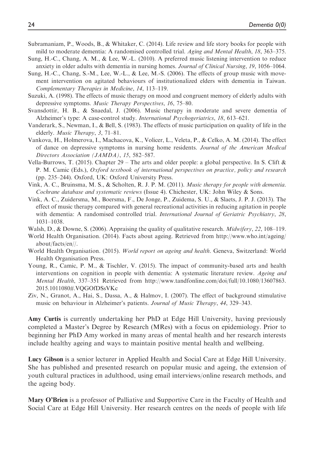- <span id="page-23-0"></span>Subramaniam, P., Woods, B., & Whitaker, C. (2014). Life review and life story books for people with mild to moderate dementia: A randomised controlled trial. Aging and Mental Health, 18, 363–375.
- Sung, H.-C., Chang, A. M., & Lee, W.-L. (2010). A preferred music listening intervention to reduce anxiety in older adults with dementia in nursing homes. Journal of Clinical Nursing, 19, 1056–1064.
- Sung, H.-C., Chang, S.-M., Lee, W.-L., & Lee, M.-S. (2006). The effects of group music with movement intervention on agitated behaviours of institutionalized elders with dementia in Taiwan. Complementary Therapies in Medicine, 14, 113–119.
- Suzuki, A. (1998). The effects of music therapy on mood and congruent memory of elderly adults with depressive symptoms. Music Therapy Perspectives, 16, 75–80.
- Svansdottir, H. B., & Snaedal, J. (2006). Music therapy in moderate and severe dementia of Alzheimer's type: A case-control study. International Psychogeriatrics, 18, 613–621.
- Vanderark, S., Newman, I., & Bell, S. (1983). The effects of music participation on quality of life in the elderly. Music Therapy, 3, 71–81.
- Vankova, H., Holmerova, I., Machacova, K., Volicer, L., Veleta, P., & Celko, A. M. (2014). The effect of dance on depressive symptoms in nursing home residents. Journal of the American Medical Directors Association (JAMDA), 15, 582–587.
- Vella-Burrows, T. (2015). Chapter 29 The arts and older people: a global perspective. In S. Clift & P. M. Camic (Eds.), Oxford textbook of international perspectives on practice, policy and research (pp. 235–244). Oxford, UK: Oxford University Press.
- Vink, A. C., Bruinsma, M. S., & Scholten, R. J. P. M. (2011). Music therapy for people with dementia. Cochrane database and systematic reviews (Issue 4). Chichester, UK: John Wiley & Sons.
- Vink, A. C., Zuidersma, M., Boersma, F., De Jonge, P., Zuidema, S. U., & Slaets, J. P. J. (2013). The effect of music therapy compared with general recreational activities in reducing agitation in people with dementia: A randomised controlled trial. International Journal of Geriatric Psychiatry, 28, 1031–1038.
- Walsh, D., & Downe, S. (2006). Appraising the quality of qualitative research. *Midwifery*, 22, 108–119.
- World Health Organisation. (2014). Facts about ageing. Retrieved from [http://www.who.int/ageing/](http://www.who.int/ageing/about/facts/en) [about/facts/en/](http://www.who.int/ageing/about/facts/en)/.
- World Health Organisation. (2015). World report on ageing and health. Geneva, Switzerland: World Health Organisation Press.
- Young, R., Camic, P. M., & Tischler, V. (2015). The impact of community-based arts and health interventions on cognition in people with dementia: A systematic literature review. Ageing and Mental Health, 337–351 Retrieved from [http://www.tandfonline.com/doi/full/10.1080/13607863.](http://www.tandfonline.com/doi/full/10.1080/13607863.2015.1011080#.VQGOfDSsVKc) [2015.1011080#.VQGOfDSsVKc](http://www.tandfonline.com/doi/full/10.1080/13607863.2015.1011080#.VQGOfDSsVKc)
- Ziv, N., Granot, A., Hai, S., Dassa, A., & Halmov, I. (2007). The effect of background stimulative music on behaviour in Alzheimer's patients. Journal of Music Therapy, 44, 329–343.

Amy Curtis is currently undertaking her PhD at Edge Hill University, having previously completed a Master's Degree by Research (MRes) with a focus on epidemiology. Prior to beginning her PhD Amy worked in many areas of mental health and her research interests include healthy ageing and ways to maintain positive mental health and wellbeing.

Lucy Gibson is a senior lecturer in Applied Health and Social Care at Edge Hill University. She has published and presented research on popular music and ageing, the extension of youth cultural practices in adulthood, using email interviews/online research methods, and the ageing body.

Mary O'Brien is a professor of Palliative and Supportive Care in the Faculty of Health and Social Care at Edge Hill University. Her research centres on the needs of people with life